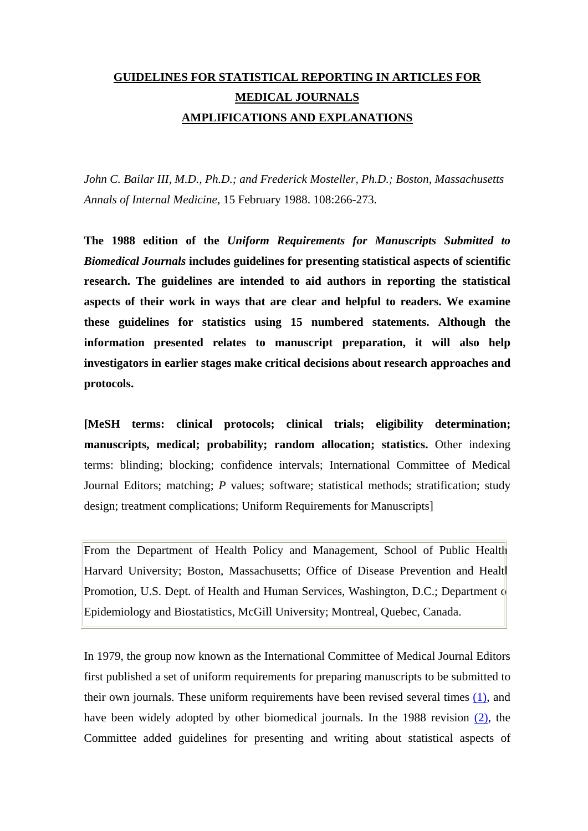# **GUIDELINES FOR STATISTICAL REPORTING IN ARTICLES FOR MEDICAL JOURNALS AMPLIFICATIONS AND EXPLANATIONS**

*John C. Bailar III, M.D., Ph.D.; and Frederick Mosteller, Ph.D.; Boston, Massachusetts Annals of Internal Medicine,* 15 February 1988. 108:266-273.

**The 1988 edition of the** *Uniform Requirements for Manuscripts Submitted to Biomedical Journals* **includes guidelines for presenting statistical aspects of scientific research. The guidelines are intended to aid authors in reporting the statistical aspects of their work in ways that are clear and helpful to readers. We examine these guidelines for statistics using 15 numbered statements. Although the information presented relates to manuscript preparation, it will also help investigators in earlier stages make critical decisions about research approaches and protocols.** 

**[MeSH terms: clinical protocols; clinical trials; eligibility determination; manuscripts, medical; probability; random allocation; statistics.** Other indexing terms: blinding; blocking; confidence intervals; International Committee of Medical Journal Editors; matching; *P* values; software; statistical methods; stratification; study design; treatment complications; Uniform Requirements for Manuscripts]

From the Department of Health Policy and Management, School of Public Health Harvard University; Boston, Massachusetts; Office of Disease Prevention and Health Promotion, U.S. Dept. of Health and Human Services, Washington, D.C.; Department o Epidemiology and Biostatistics, McGill University; Montreal, Quebec, Canada.

In 1979, the group now known as the International Committee of Medical Journal Editors first published a set of uniform requirements for preparing manuscripts to be submitted to their own journals. These uniform requirements have been revised several times (1), and have been widely adopted by other biomedical journals. In the 1988 revision (2), the Committee added guidelines for presenting and writing about statistical aspects of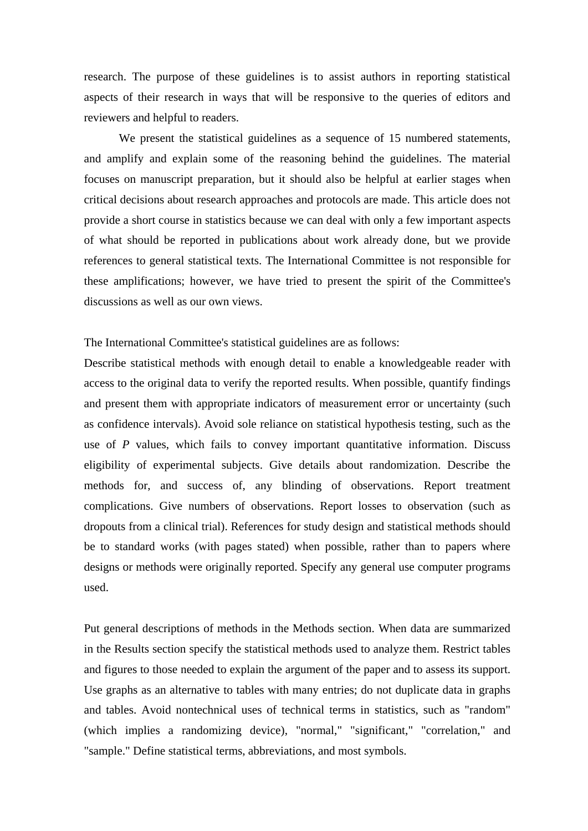research. The purpose of these guidelines is to assist authors in reporting statistical aspects of their research in ways that will be responsive to the queries of editors and reviewers and helpful to readers.

We present the statistical guidelines as a sequence of 15 numbered statements, and amplify and explain some of the reasoning behind the guidelines. The material focuses on manuscript preparation, but it should also be helpful at earlier stages when critical decisions about research approaches and protocols are made. This article does not provide a short course in statistics because we can deal with only a few important aspects of what should be reported in publications about work already done, but we provide references to general statistical texts. The International Committee is not responsible for these amplifications; however, we have tried to present the spirit of the Committee's discussions as well as our own views.

The International Committee's statistical guidelines are as follows:

Describe statistical methods with enough detail to enable a knowledgeable reader with access to the original data to verify the reported results. When possible, quantify findings and present them with appropriate indicators of measurement error or uncertainty (such as confidence intervals). Avoid sole reliance on statistical hypothesis testing, such as the use of *P* values, which fails to convey important quantitative information. Discuss eligibility of experimental subjects. Give details about randomization. Describe the methods for, and success of, any blinding of observations. Report treatment complications. Give numbers of observations. Report losses to observation (such as dropouts from a clinical trial). References for study design and statistical methods should be to standard works (with pages stated) when possible, rather than to papers where designs or methods were originally reported. Specify any general use computer programs used.

Put general descriptions of methods in the Methods section. When data are summarized in the Results section specify the statistical methods used to analyze them. Restrict tables and figures to those needed to explain the argument of the paper and to assess its support. Use graphs as an alternative to tables with many entries; do not duplicate data in graphs and tables. Avoid nontechnical uses of technical terms in statistics, such as "random" (which implies a randomizing device), "normal," "significant," "correlation," and "sample." Define statistical terms, abbreviations, and most symbols.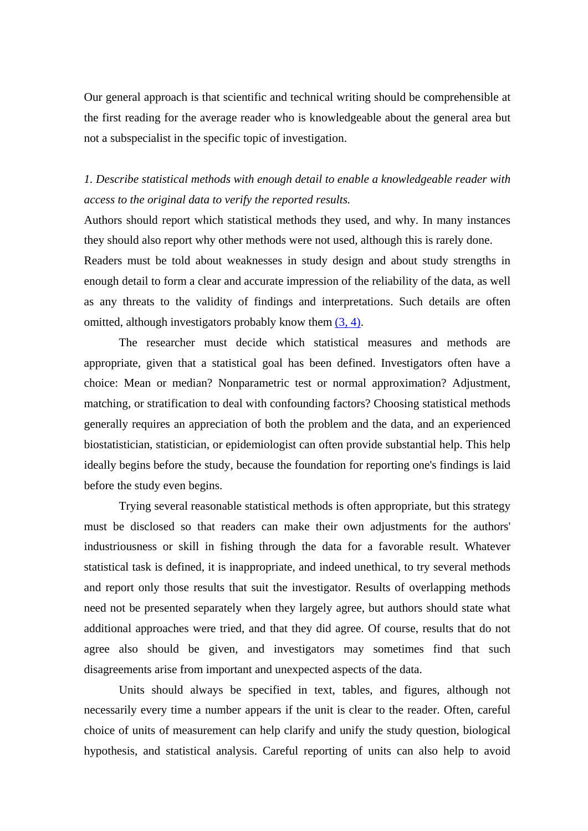Our general approach is that scientific and technical writing should be comprehensible at the first reading for the average reader who is knowledgeable about the general area but not a subspecialist in the specific topic of investigation.

*1. Describe statistical methods with enough detail to enable a knowledgeable reader with access to the original data to verify the reported results.*

Authors should report which statistical methods they used, and why. In many instances they should also report why other methods were not used, although this is rarely done. Readers must be told about weaknesses in study design and about study strengths in enough detail to form a clear and accurate impression of the reliability of the data, as well as any threats to the validity of findings and interpretations. Such details are often omitted, although investigators probably know them (3, 4).

The researcher must decide which statistical measures and methods are appropriate, given that a statistical goal has been defined. Investigators often have a choice: Mean or median? Nonparametric test or normal approximation? Adjustment, matching, or stratification to deal with confounding factors? Choosing statistical methods generally requires an appreciation of both the problem and the data, and an experienced biostatistician, statistician, or epidemiologist can often provide substantial help. This help ideally begins before the study, because the foundation for reporting one's findings is laid before the study even begins.

Trying several reasonable statistical methods is often appropriate, but this strategy must be disclosed so that readers can make their own adjustments for the authors' industriousness or skill in fishing through the data for a favorable result. Whatever statistical task is defined, it is inappropriate, and indeed unethical, to try several methods and report only those results that suit the investigator. Results of overlapping methods need not be presented separately when they largely agree, but authors should state what additional approaches were tried, and that they did agree. Of course, results that do not agree also should be given, and investigators may sometimes find that such disagreements arise from important and unexpected aspects of the data.

Units should always be specified in text, tables, and figures, although not necessarily every time a number appears if the unit is clear to the reader. Often, careful choice of units of measurement can help clarify and unify the study question, biological hypothesis, and statistical analysis. Careful reporting of units can also help to avoid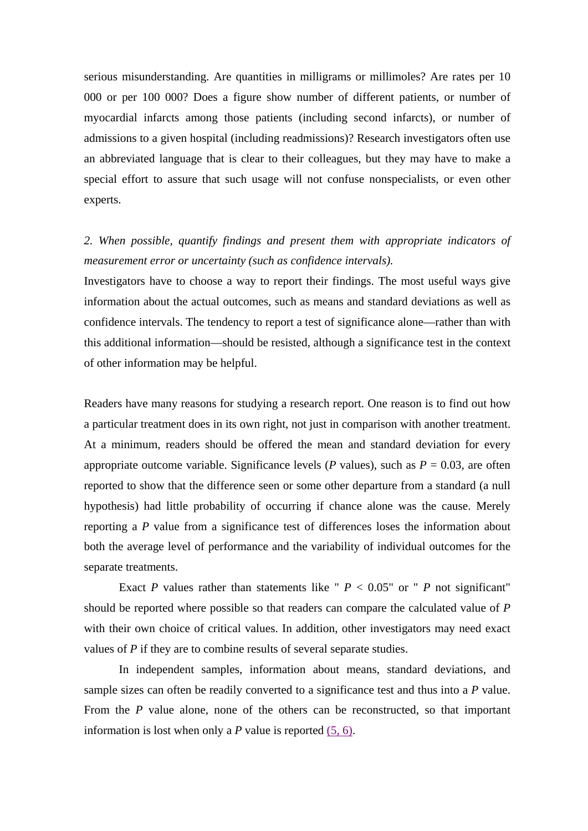serious misunderstanding. Are quantities in milligrams or millimoles? Are rates per 10 000 or per 100 000? Does a figure show number of different patients, or number of myocardial infarcts among those patients (including second infarcts), or number of admissions to a given hospital (including readmissions)? Research investigators often use an abbreviated language that is clear to their colleagues, but they may have to make a special effort to assure that such usage will not confuse nonspecialists, or even other experts.

# *2. When possible, quantify findings and present them with appropriate indicators of measurement error or uncertainty (such as confidence intervals).*

Investigators have to choose a way to report their findings. The most useful ways give information about the actual outcomes, such as means and standard deviations as well as confidence intervals. The tendency to report a test of significance alone—rather than with this additional information—should be resisted, although a significance test in the context of other information may be helpful.

Readers have many reasons for studying a research report. One reason is to find out how a particular treatment does in its own right, not just in comparison with another treatment. At a minimum, readers should be offered the mean and standard deviation for every appropriate outcome variable. Significance levels (*P* values), such as  $P = 0.03$ , are often reported to show that the difference seen or some other departure from a standard (a null hypothesis) had little probability of occurring if chance alone was the cause. Merely reporting a *P* value from a significance test of differences loses the information about both the average level of performance and the variability of individual outcomes for the separate treatments.

Exact *P* values rather than statements like "  $P < 0.05$ " or " *P* not significant" should be reported where possible so that readers can compare the calculated value of *P* with their own choice of critical values. In addition, other investigators may need exact values of *P* if they are to combine results of several separate studies.

In independent samples, information about means, standard deviations, and sample sizes can often be readily converted to a significance test and thus into a *P* value. From the *P* value alone, none of the others can be reconstructed, so that important information is lost when only a *P* value is reported (5, 6).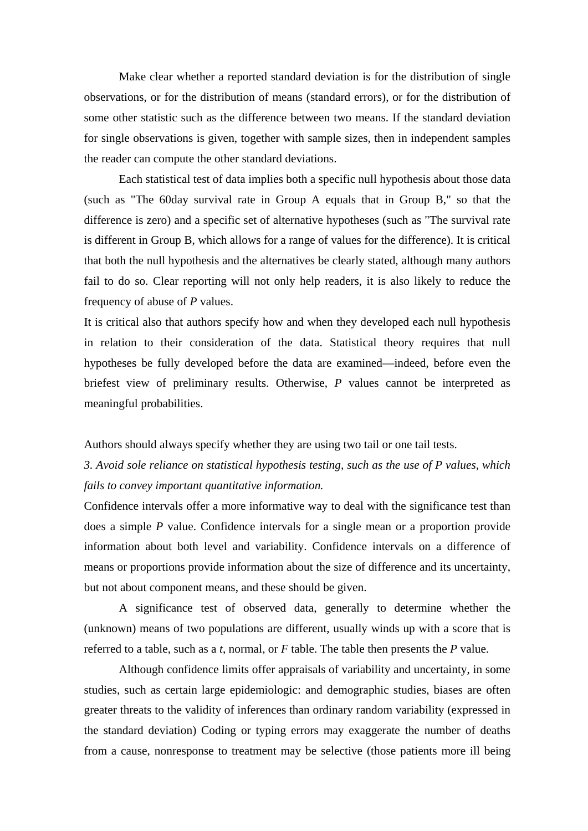Make clear whether a reported standard deviation is for the distribution of single observations, or for the distribution of means (standard errors), or for the distribution of some other statistic such as the difference between two means. If the standard deviation for single observations is given, together with sample sizes, then in independent samples the reader can compute the other standard deviations.

Each statistical test of data implies both a specific null hypothesis about those data (such as "The 60day survival rate in Group A equals that in Group B," so that the difference is zero) and a specific set of alternative hypotheses (such as "The survival rate is different in Group B, which allows for a range of values for the difference). It is critical that both the null hypothesis and the alternatives be clearly stated, although many authors fail to do so. Clear reporting will not only help readers, it is also likely to reduce the frequency of abuse of *P* values.

It is critical also that authors specify how and when they developed each null hypothesis in relation to their consideration of the data. Statistical theory requires that null hypotheses be fully developed before the data are examined—indeed, before even the briefest view of preliminary results. Otherwise, *P* values cannot be interpreted as meaningful probabilities.

Authors should always specify whether they are using two tail or one tail tests.

*3. Avoid sole reliance on statistical hypothesis testing, such as the use of P values, which fails to convey important quantitative information.*

Confidence intervals offer a more informative way to deal with the significance test than does a simple *P* value. Confidence intervals for a single mean or a proportion provide information about both level and variability. Confidence intervals on a difference of means or proportions provide information about the size of difference and its uncertainty, but not about component means, and these should be given.

A significance test of observed data, generally to determine whether the (unknown) means of two populations are different, usually winds up with a score that is referred to a table, such as a *t*, normal, or *F* table. The table then presents the *P* value.

Although confidence limits offer appraisals of variability and uncertainty, in some studies, such as certain large epidemiologic: and demographic studies, biases are often greater threats to the validity of inferences than ordinary random variability (expressed in the standard deviation) Coding or typing errors may exaggerate the number of deaths from a cause, nonresponse to treatment may be selective (those patients more ill being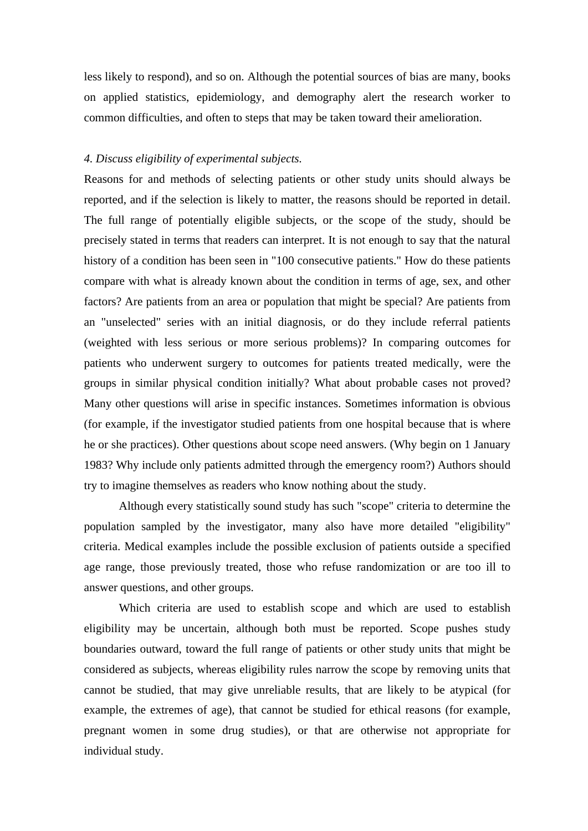less likely to respond), and so on. Although the potential sources of bias are many, books on applied statistics, epidemiology, and demography alert the research worker to common difficulties, and often to steps that may be taken toward their amelioration.

# *4. Discuss eligibility of experimental subjects.*

Reasons for and methods of selecting patients or other study units should always be reported, and if the selection is likely to matter, the reasons should be reported in detail. The full range of potentially eligible subjects, or the scope of the study, should be precisely stated in terms that readers can interpret. It is not enough to say that the natural history of a condition has been seen in "100 consecutive patients." How do these patients compare with what is already known about the condition in terms of age, sex, and other factors? Are patients from an area or population that might be special? Are patients from an "unselected" series with an initial diagnosis, or do they include referral patients (weighted with less serious or more serious problems)? In comparing outcomes for patients who underwent surgery to outcomes for patients treated medically, were the groups in similar physical condition initially? What about probable cases not proved? Many other questions will arise in specific instances. Sometimes information is obvious (for example, if the investigator studied patients from one hospital because that is where he or she practices). Other questions about scope need answers. (Why begin on 1 January 1983? Why include only patients admitted through the emergency room?) Authors should try to imagine themselves as readers who know nothing about the study.

Although every statistically sound study has such "scope" criteria to determine the population sampled by the investigator, many also have more detailed "eligibility" criteria. Medical examples include the possible exclusion of patients outside a specified age range, those previously treated, those who refuse randomization or are too ill to answer questions, and other groups.

Which criteria are used to establish scope and which are used to establish eligibility may be uncertain, although both must be reported. Scope pushes study boundaries outward, toward the full range of patients or other study units that might be considered as subjects, whereas eligibility rules narrow the scope by removing units that cannot be studied, that may give unreliable results, that are likely to be atypical (for example, the extremes of age), that cannot be studied for ethical reasons (for example, pregnant women in some drug studies), or that are otherwise not appropriate for individual study.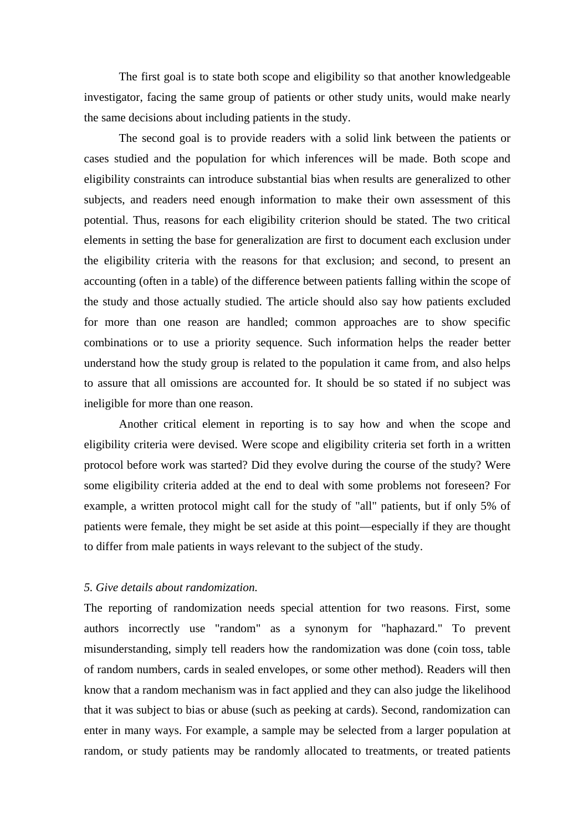The first goal is to state both scope and eligibility so that another knowledgeable investigator, facing the same group of patients or other study units, would make nearly the same decisions about including patients in the study.

The second goal is to provide readers with a solid link between the patients or cases studied and the population for which inferences will be made. Both scope and eligibility constraints can introduce substantial bias when results are generalized to other subjects, and readers need enough information to make their own assessment of this potential. Thus, reasons for each eligibility criterion should be stated. The two critical elements in setting the base for generalization are first to document each exclusion under the eligibility criteria with the reasons for that exclusion; and second, to present an accounting (often in a table) of the difference between patients falling within the scope of the study and those actually studied. The article should also say how patients excluded for more than one reason are handled; common approaches are to show specific combinations or to use a priority sequence. Such information helps the reader better understand how the study group is related to the population it came from, and also helps to assure that all omissions are accounted for. It should be so stated if no subject was ineligible for more than one reason.

Another critical element in reporting is to say how and when the scope and eligibility criteria were devised. Were scope and eligibility criteria set forth in a written protocol before work was started? Did they evolve during the course of the study? Were some eligibility criteria added at the end to deal with some problems not foreseen? For example, a written protocol might call for the study of "all" patients, but if only 5% of patients were female, they might be set aside at this point—especially if they are thought to differ from male patients in ways relevant to the subject of the study.

# *5. Give details about randomization.*

The reporting of randomization needs special attention for two reasons. First, some authors incorrectly use "random" as a synonym for "haphazard." To prevent misunderstanding, simply tell readers how the randomization was done (coin toss, table of random numbers, cards in sealed envelopes, or some other method). Readers will then know that a random mechanism was in fact applied and they can also judge the likelihood that it was subject to bias or abuse (such as peeking at cards). Second, randomization can enter in many ways. For example, a sample may be selected from a larger population at random, or study patients may be randomly allocated to treatments, or treated patients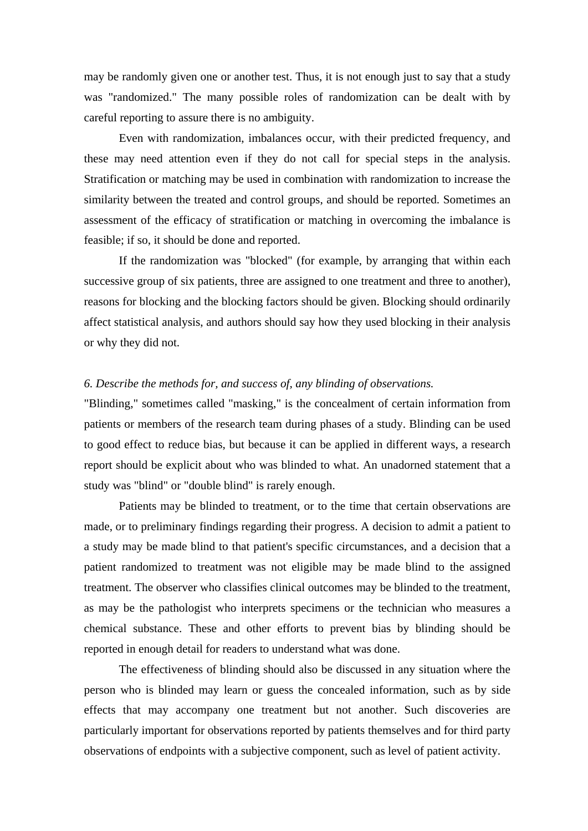may be randomly given one or another test. Thus, it is not enough just to say that a study was "randomized." The many possible roles of randomization can be dealt with by careful reporting to assure there is no ambiguity.

Even with randomization, imbalances occur, with their predicted frequency, and these may need attention even if they do not call for special steps in the analysis. Stratification or matching may be used in combination with randomization to increase the similarity between the treated and control groups, and should be reported. Sometimes an assessment of the efficacy of stratification or matching in overcoming the imbalance is feasible; if so, it should be done and reported.

If the randomization was "blocked" (for example, by arranging that within each successive group of six patients, three are assigned to one treatment and three to another), reasons for blocking and the blocking factors should be given. Blocking should ordinarily affect statistical analysis, and authors should say how they used blocking in their analysis or why they did not.

# *6. Describe the methods for, and success of, any blinding of observations.*

"Blinding," sometimes called "masking," is the concealment of certain information from patients or members of the research team during phases of a study. Blinding can be used to good effect to reduce bias, but because it can be applied in different ways, a research report should be explicit about who was blinded to what. An unadorned statement that a study was "blind" or "double blind" is rarely enough.

Patients may be blinded to treatment, or to the time that certain observations are made, or to preliminary findings regarding their progress. A decision to admit a patient to a study may be made blind to that patient's specific circumstances, and a decision that a patient randomized to treatment was not eligible may be made blind to the assigned treatment. The observer who classifies clinical outcomes may be blinded to the treatment, as may be the pathologist who interprets specimens or the technician who measures a chemical substance. These and other efforts to prevent bias by blinding should be reported in enough detail for readers to understand what was done.

The effectiveness of blinding should also be discussed in any situation where the person who is blinded may learn or guess the concealed information, such as by side effects that may accompany one treatment but not another. Such discoveries are particularly important for observations reported by patients themselves and for third party observations of endpoints with a subjective component, such as level of patient activity.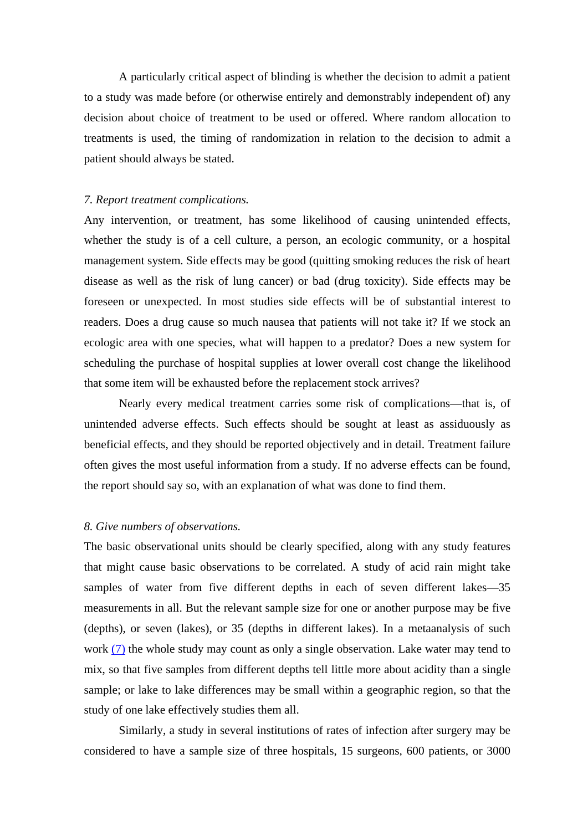A particularly critical aspect of blinding is whether the decision to admit a patient to a study was made before (or otherwise entirely and demonstrably independent of) any decision about choice of treatment to be used or offered. Where random allocation to treatments is used, the timing of randomization in relation to the decision to admit a patient should always be stated.

#### *7. Report treatment complications.*

Any intervention, or treatment, has some likelihood of causing unintended effects, whether the study is of a cell culture, a person, an ecologic community, or a hospital management system. Side effects may be good (quitting smoking reduces the risk of heart disease as well as the risk of lung cancer) or bad (drug toxicity). Side effects may be foreseen or unexpected. In most studies side effects will be of substantial interest to readers. Does a drug cause so much nausea that patients will not take it? If we stock an ecologic area with one species, what will happen to a predator? Does a new system for scheduling the purchase of hospital supplies at lower overall cost change the likelihood that some item will be exhausted before the replacement stock arrives?

Nearly every medical treatment carries some risk of complications—that is, of unintended adverse effects. Such effects should be sought at least as assiduously as beneficial effects, and they should be reported objectively and in detail. Treatment failure often gives the most useful information from a study. If no adverse effects can be found, the report should say so, with an explanation of what was done to find them.

## *8. Give numbers of observations.*

The basic observational units should be clearly specified, along with any study features that might cause basic observations to be correlated. A study of acid rain might take samples of water from five different depths in each of seven different lakes—35 measurements in all. But the relevant sample size for one or another purpose may be five (depths), or seven (lakes), or 35 (depths in different lakes). In a metaanalysis of such work (7) the whole study may count as only a single observation. Lake water may tend to mix, so that five samples from different depths tell little more about acidity than a single sample; or lake to lake differences may be small within a geographic region, so that the study of one lake effectively studies them all.

Similarly, a study in several institutions of rates of infection after surgery may be considered to have a sample size of three hospitals, 15 surgeons, 600 patients, or 3000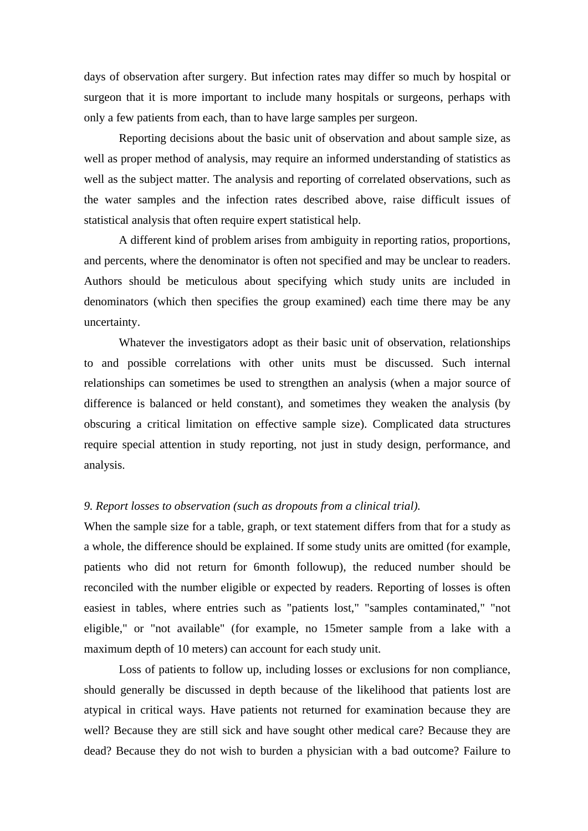days of observation after surgery. But infection rates may differ so much by hospital or surgeon that it is more important to include many hospitals or surgeons, perhaps with only a few patients from each, than to have large samples per surgeon.

Reporting decisions about the basic unit of observation and about sample size, as well as proper method of analysis, may require an informed understanding of statistics as well as the subject matter. The analysis and reporting of correlated observations, such as the water samples and the infection rates described above, raise difficult issues of statistical analysis that often require expert statistical help.

A different kind of problem arises from ambiguity in reporting ratios, proportions, and percents, where the denominator is often not specified and may be unclear to readers. Authors should be meticulous about specifying which study units are included in denominators (which then specifies the group examined) each time there may be any uncertainty.

Whatever the investigators adopt as their basic unit of observation, relationships to and possible correlations with other units must be discussed. Such internal relationships can sometimes be used to strengthen an analysis (when a major source of difference is balanced or held constant), and sometimes they weaken the analysis (by obscuring a critical limitation on effective sample size). Complicated data structures require special attention in study reporting, not just in study design, performance, and analysis.

#### *9. Report losses to observation (such as dropouts from a clinical trial).*

When the sample size for a table, graph, or text statement differs from that for a study as a whole, the difference should be explained. If some study units are omitted (for example, patients who did not return for 6month followup), the reduced number should be reconciled with the number eligible or expected by readers. Reporting of losses is often easiest in tables, where entries such as "patients lost," "samples contaminated," "not eligible," or "not available" (for example, no 15meter sample from a lake with a maximum depth of 10 meters) can account for each study unit.

Loss of patients to follow up, including losses or exclusions for non compliance, should generally be discussed in depth because of the likelihood that patients lost are atypical in critical ways. Have patients not returned for examination because they are well? Because they are still sick and have sought other medical care? Because they are dead? Because they do not wish to burden a physician with a bad outcome? Failure to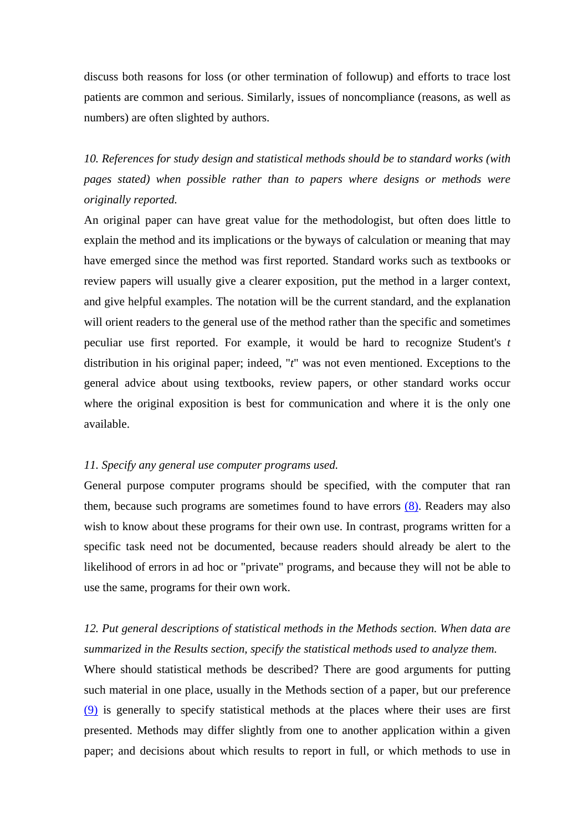discuss both reasons for loss (or other termination of followup) and efforts to trace lost patients are common and serious. Similarly, issues of noncompliance (reasons, as well as numbers) are often slighted by authors.

*10. References for study design and statistical methods should be to standard works (with pages stated) when possible rather than to papers where designs or methods were originally reported.*

An original paper can have great value for the methodologist, but often does little to explain the method and its implications or the byways of calculation or meaning that may have emerged since the method was first reported. Standard works such as textbooks or review papers will usually give a clearer exposition, put the method in a larger context, and give helpful examples. The notation will be the current standard, and the explanation will orient readers to the general use of the method rather than the specific and sometimes peculiar use first reported. For example, it would be hard to recognize Student's *t* distribution in his original paper; indeed, "*t*" was not even mentioned. Exceptions to the general advice about using textbooks, review papers, or other standard works occur where the original exposition is best for communication and where it is the only one available.

# *11. Specify any general use computer programs used.*

General purpose computer programs should be specified, with the computer that ran them, because such programs are sometimes found to have errors  $(8)$ . Readers may also wish to know about these programs for their own use. In contrast, programs written for a specific task need not be documented, because readers should already be alert to the likelihood of errors in ad hoc or "private" programs, and because they will not be able to use the same, programs for their own work.

# *12. Put general descriptions of statistical methods in the Methods section. When data are summarized in the Results section, specify the statistical methods used to analyze them.*

Where should statistical methods be described? There are good arguments for putting such material in one place, usually in the Methods section of a paper, but our preference (9) is generally to specify statistical methods at the places where their uses are first presented. Methods may differ slightly from one to another application within a given paper; and decisions about which results to report in full, or which methods to use in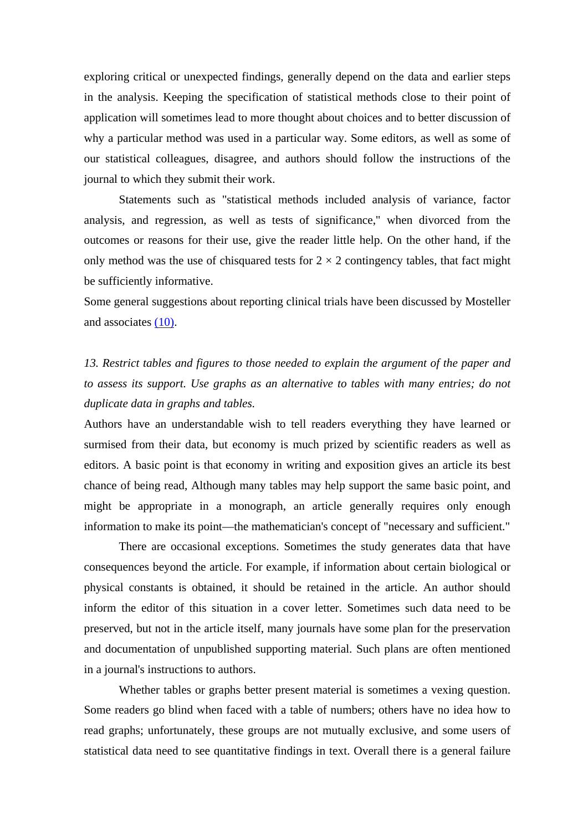exploring critical or unexpected findings, generally depend on the data and earlier steps in the analysis. Keeping the specification of statistical methods close to their point of application will sometimes lead to more thought about choices and to better discussion of why a particular method was used in a particular way. Some editors, as well as some of our statistical colleagues, disagree, and authors should follow the instructions of the journal to which they submit their work.

Statements such as "statistical methods included analysis of variance, factor analysis, and regression, as well as tests of significance," when divorced from the outcomes or reasons for their use, give the reader little help. On the other hand, if the only method was the use of chisquared tests for  $2 \times 2$  contingency tables, that fact might be sufficiently informative.

Some general suggestions about reporting clinical trials have been discussed by Mosteller and associates (10).

*13. Restrict tables and figures to those needed to explain the argument of the paper and to assess its support. Use graphs as an alternative to tables with many entries; do not duplicate data in graphs and tables.*

Authors have an understandable wish to tell readers everything they have learned or surmised from their data, but economy is much prized by scientific readers as well as editors. A basic point is that economy in writing and exposition gives an article its best chance of being read, Although many tables may help support the same basic point, and might be appropriate in a monograph, an article generally requires only enough information to make its point—the mathematician's concept of "necessary and sufficient."

There are occasional exceptions. Sometimes the study generates data that have consequences beyond the article. For example, if information about certain biological or physical constants is obtained, it should be retained in the article. An author should inform the editor of this situation in a cover letter. Sometimes such data need to be preserved, but not in the article itself, many journals have some plan for the preservation and documentation of unpublished supporting material. Such plans are often mentioned in a journal's instructions to authors.

Whether tables or graphs better present material is sometimes a vexing question. Some readers go blind when faced with a table of numbers; others have no idea how to read graphs; unfortunately, these groups are not mutually exclusive, and some users of statistical data need to see quantitative findings in text. Overall there is a general failure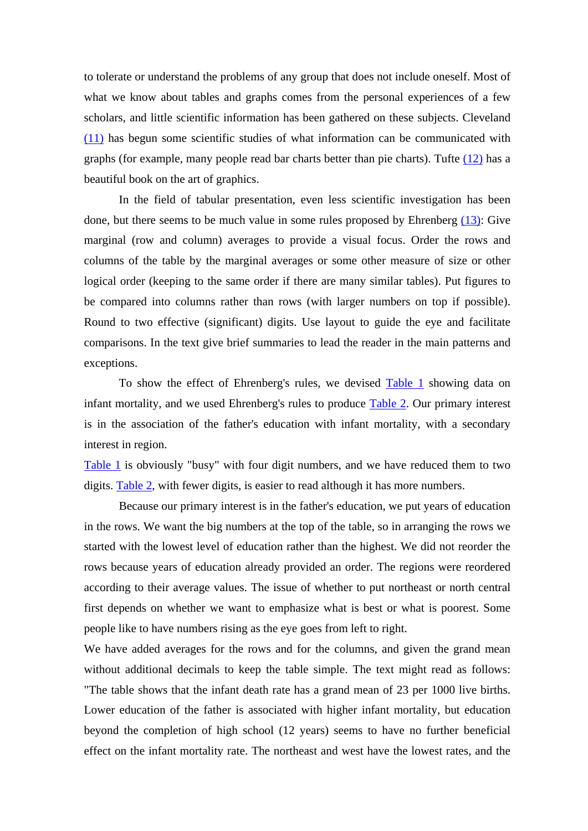to tolerate or understand the problems of any group that does not include oneself. Most of what we know about tables and graphs comes from the personal experiences of a few scholars, and little scientific information has been gathered on these subjects. Cleveland (11) has begun some scientific studies of what information can be communicated with graphs (for example, many people read bar charts better than pie charts). Tufte (12) has a beautiful book on the art of graphics.

In the field of tabular presentation, even less scientific investigation has been done, but there seems to be much value in some rules proposed by Ehrenberg (13): Give marginal (row and column) averages to provide a visual focus. Order the rows and columns of the table by the marginal averages or some other measure of size or other logical order (keeping to the same order if there are many similar tables). Put figures to be compared into columns rather than rows (with larger numbers on top if possible). Round to two effective (significant) digits. Use layout to guide the eye and facilitate comparisons. In the text give brief summaries to lead the reader in the main patterns and exceptions.

To show the effect of Ehrenberg's rules, we devised Table 1 showing data on infant mortality, and we used Ehrenberg's rules to produce Table 2. Our primary interest is in the association of the father's education with infant mortality, with a secondary interest in region.

Table 1 is obviously "busy" with four digit numbers, and we have reduced them to two digits. Table 2, with fewer digits, is easier to read although it has more numbers.

Because our primary interest is in the father's education, we put years of education in the rows. We want the big numbers at the top of the table, so in arranging the rows we started with the lowest level of education rather than the highest. We did not reorder the rows because years of education already provided an order. The regions were reordered according to their average values. The issue of whether to put northeast or north central first depends on whether we want to emphasize what is best or what is poorest. Some people like to have numbers rising as the eye goes from left to right.

We have added averages for the rows and for the columns, and given the grand mean without additional decimals to keep the table simple. The text might read as follows: "The table shows that the infant death rate has a grand mean of 23 per 1000 live births. Lower education of the father is associated with higher infant mortality, but education beyond the completion of high school (12 years) seems to have no further beneficial effect on the infant mortality rate. The northeast and west have the lowest rates, and the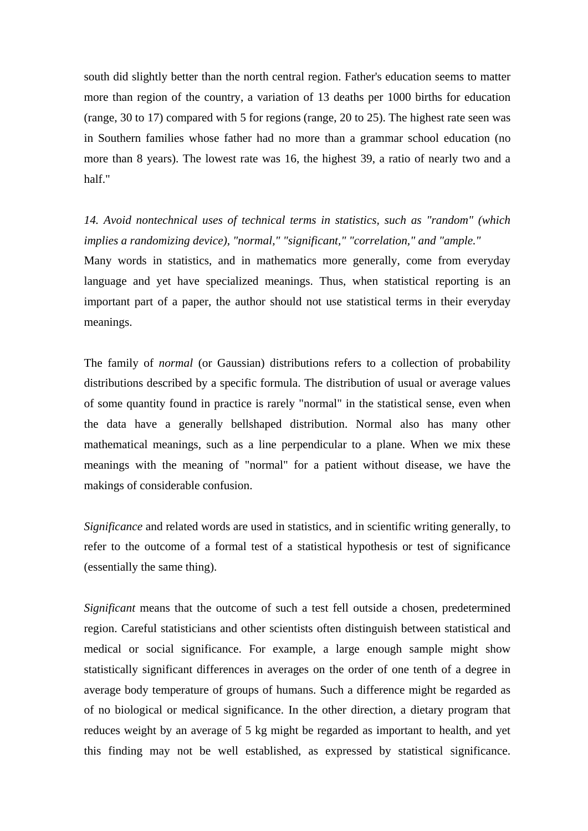south did slightly better than the north central region. Father's education seems to matter more than region of the country, a variation of 13 deaths per 1000 births for education (range, 30 to 17) compared with 5 for regions (range, 20 to 25). The highest rate seen was in Southern families whose father had no more than a grammar school education (no more than 8 years). The lowest rate was 16, the highest 39, a ratio of nearly two and a half."

*14. Avoid nontechnical uses of technical terms in statistics, such as "random" (which implies a randomizing device), "normal," "significant," "correlation," and "ample."* Many words in statistics, and in mathematics more generally, come from everyday language and yet have specialized meanings. Thus, when statistical reporting is an important part of a paper, the author should not use statistical terms in their everyday meanings.

The family of *normal* (or Gaussian) distributions refers to a collection of probability distributions described by a specific formula. The distribution of usual or average values of some quantity found in practice is rarely "normal" in the statistical sense, even when the data have a generally bellshaped distribution. Normal also has many other mathematical meanings, such as a line perpendicular to a plane. When we mix these meanings with the meaning of "normal" for a patient without disease, we have the makings of considerable confusion.

*Significance* and related words are used in statistics, and in scientific writing generally, to refer to the outcome of a formal test of a statistical hypothesis or test of significance (essentially the same thing).

*Significant* means that the outcome of such a test fell outside a chosen, predetermined region. Careful statisticians and other scientists often distinguish between statistical and medical or social significance. For example, a large enough sample might show statistically significant differences in averages on the order of one tenth of a degree in average body temperature of groups of humans. Such a difference might be regarded as of no biological or medical significance. In the other direction, a dietary program that reduces weight by an average of 5 kg might be regarded as important to health, and yet this finding may not be well established, as expressed by statistical significance.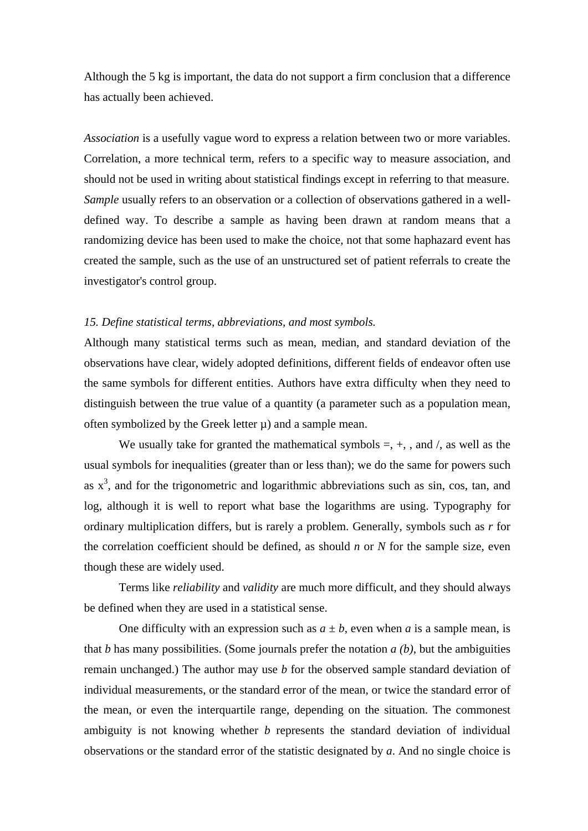Although the 5 kg is important, the data do not support a firm conclusion that a difference has actually been achieved.

*Association* is a usefully vague word to express a relation between two or more variables. Correlation, a more technical term, refers to a specific way to measure association, and should not be used in writing about statistical findings except in referring to that measure. *Sample* usually refers to an observation or a collection of observations gathered in a welldefined way. To describe a sample as having been drawn at random means that a randomizing device has been used to make the choice, not that some haphazard event has created the sample, such as the use of an unstructured set of patient referrals to create the investigator's control group.

### *15. Define statistical terms, abbreviations, and most symbols.*

Although many statistical terms such as mean, median, and standard deviation of the observations have clear, widely adopted definitions, different fields of endeavor often use the same symbols for different entities. Authors have extra difficulty when they need to distinguish between the true value of a quantity (a parameter such as a population mean, often symbolized by the Greek letter  $\mu$ ) and a sample mean.

We usually take for granted the mathematical symbols  $=$ ,  $+$ , , and  $/$ , as well as the usual symbols for inequalities (greater than or less than); we do the same for powers such as  $x<sup>3</sup>$ , and for the trigonometric and logarithmic abbreviations such as sin, cos, tan, and log, although it is well to report what base the logarithms are using. Typography for ordinary multiplication differs, but is rarely a problem. Generally, symbols such as *r* for the correlation coefficient should be defined, as should *n* or *N* for the sample size, even though these are widely used.

Terms like *reliability* and *validity* are much more difficult, and they should always be defined when they are used in a statistical sense.

One difficulty with an expression such as  $a \pm b$ , even when *a* is a sample mean, is that  $b$  has many possibilities. (Some journals prefer the notation  $a$   $(b)$ , but the ambiguities remain unchanged.) The author may use *b* for the observed sample standard deviation of individual measurements, or the standard error of the mean, or twice the standard error of the mean, or even the interquartile range, depending on the situation. The commonest ambiguity is not knowing whether *b* represents the standard deviation of individual observations or the standard error of the statistic designated by *a*. And no single choice is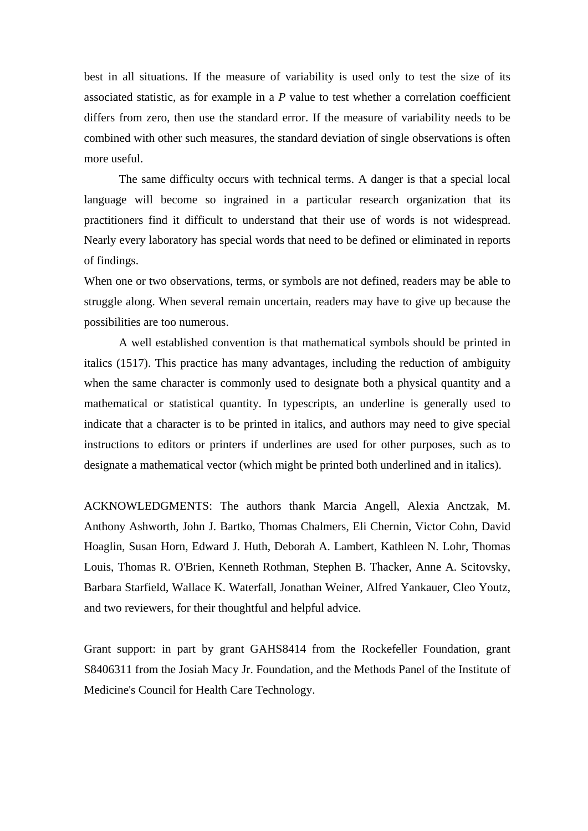best in all situations. If the measure of variability is used only to test the size of its associated statistic, as for example in a *P* value to test whether a correlation coefficient differs from zero, then use the standard error. If the measure of variability needs to be combined with other such measures, the standard deviation of single observations is often more useful.

The same difficulty occurs with technical terms. A danger is that a special local language will become so ingrained in a particular research organization that its practitioners find it difficult to understand that their use of words is not widespread. Nearly every laboratory has special words that need to be defined or eliminated in reports of findings.

When one or two observations, terms, or symbols are not defined, readers may be able to struggle along. When several remain uncertain, readers may have to give up because the possibilities are too numerous.

A well established convention is that mathematical symbols should be printed in italics (1517). This practice has many advantages, including the reduction of ambiguity when the same character is commonly used to designate both a physical quantity and a mathematical or statistical quantity. In typescripts, an underline is generally used to indicate that a character is to be printed in italics, and authors may need to give special instructions to editors or printers if underlines are used for other purposes, such as to designate a mathematical vector (which might be printed both underlined and in italics).

ACKNOWLEDGMENTS: The authors thank Marcia Angell, Alexia Anctzak, M. Anthony Ashworth, John J. Bartko, Thomas Chalmers, Eli Chernin, Victor Cohn, David Hoaglin, Susan Horn, Edward J. Huth, Deborah A. Lambert, Kathleen N. Lohr, Thomas Louis, Thomas R. O'Brien, Kenneth Rothman, Stephen B. Thacker, Anne A. Scitovsky, Barbara Starfield, Wallace K. Waterfall, Jonathan Weiner, Alfred Yankauer, Cleo Youtz, and two reviewers, for their thoughtful and helpful advice.

Grant support: in part by grant GAHS8414 from the Rockefeller Foundation, grant S8406311 from the Josiah Macy Jr. Foundation, and the Methods Panel of the Institute of Medicine's Council for Health Care Technology.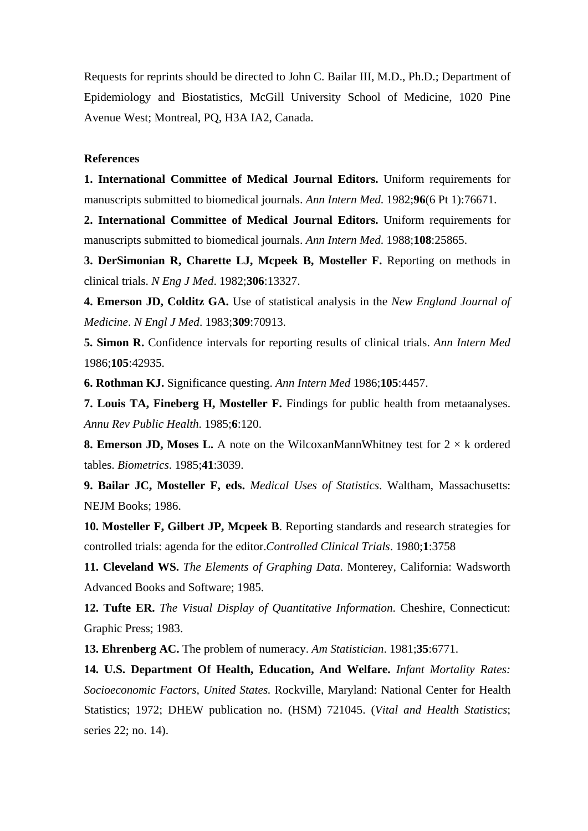Requests for reprints should be directed to John C. Bailar III, M.D., Ph.D.; Department of Epidemiology and Biostatistics, McGill University School of Medicine, 1020 Pine Avenue West; Montreal, PQ, H3A IA2, Canada.

# **References**

**1. International Committee of Medical Journal Editors.** Uniform requirements for manuscripts submitted to biomedical journals. *Ann Intern Med*. 1982;**96**(6 Pt 1):76671.

**2. International Committee of Medical Journal Editors.** Uniform requirements for manuscripts submitted to biomedical journals. *Ann Intern Med*. 1988;**108**:25865.

**3. DerSimonian R, Charette LJ, Mcpeek B, Mosteller F.** Reporting on methods in clinical trials. *N Eng J Med*. 1982;**306**:13327.

**4. Emerson JD, Colditz GA.** Use of statistical analysis in the *New England Journal of Medicine*. *N Engl J Med*. 1983;**309**:70913.

**5. Simon R.** Confidence intervals for reporting results of clinical trials. *Ann Intern Med* 1986;**105**:42935.

**6. Rothman KJ.** Significance questing. *Ann Intern Med* 1986;**105**:4457.

**7. Louis TA, Fineberg H, Mosteller F.** Findings for public health from metaanalyses. *Annu Rev Public Health*. 1985;**6**:120.

**8. Emerson JD, Moses L.** A note on the WilcoxanMannWhitney test for  $2 \times k$  ordered tables. *Biometrics*. 1985;**41**:3039.

**9. Bailar JC, Mosteller F, eds.** *Medical Uses of Statistics*. Waltham, Massachusetts: NEJM Books; 1986.

**10. Mosteller F, Gilbert JP, Mcpeek B**. Reporting standards and research strategies for controlled trials: agenda for the editor.*Controlled Clinical Trials*. 1980;**1**:3758

**11. Cleveland WS.** *The Elements of Graphing Data*. Monterey, California: Wadsworth Advanced Books and Software; 1985.

**12. Tufte ER.** *The Visual Display of Quantitative Information*. Cheshire, Connecticut: Graphic Press; 1983.

**13. Ehrenberg AC.** The problem of numeracy. *Am Statistician*. 1981;**35**:6771.

**14. U.S. Department Of Health, Education, And Welfare.** *Infant Mortality Rates: Socioeconomic Factors, United States.* Rockville, Maryland: National Center for Health Statistics; 1972; DHEW publication no. (HSM) 721045. (*Vital and Health Statistics*; series 22; no. 14).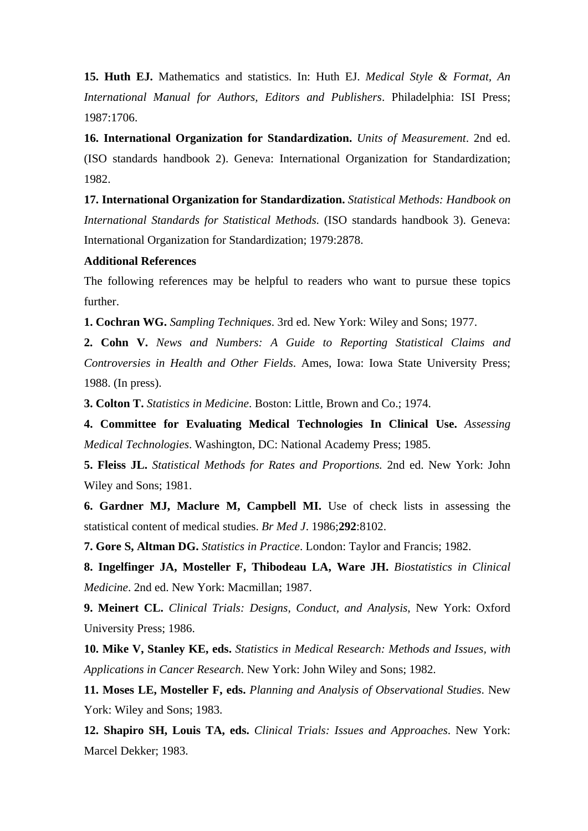**15. Huth EJ.** Mathematics and statistics. In: Huth EJ. *Medical Style & Format, An International Manual for Authors, Editors and Publishers*. Philadelphia: ISI Press; 1987:1706.

**16. International Organization for Standardization.** *Units of Measurement*. 2nd ed. (ISO standards handbook 2). Geneva: International Organization for Standardization; 1982.

**17. International Organization for Standardization.** *Statistical Methods: Handbook on International Standards for Statistical Methods*. (ISO standards handbook 3). Geneva: International Organization for Standardization; 1979:2878.

# **Additional References**

The following references may be helpful to readers who want to pursue these topics further.

**1. Cochran WG.** *Sampling Techniques*. 3rd ed. New York: Wiley and Sons; 1977.

**2. Cohn V.** *News and Numbers: A Guide to Reporting Statistical Claims and Controversies in Health and Other Fields*. Ames, Iowa: Iowa State University Press; 1988. (In press).

**3. Colton T.** *Statistics in Medicine*. Boston: Little, Brown and Co.; 1974.

**4. Committee for Evaluating Medical Technologies In Clinical Use.** *Assessing Medical Technologies*. Washington, DC: National Academy Press; 1985.

**5. Fleiss JL.** *Statistical Methods for Rates and Proportions.* 2nd ed. New York: John Wiley and Sons; 1981.

**6. Gardner MJ, Maclure M, Campbell MI.** Use of check lists in assessing the statistical content of medical studies. *Br Med J*. 1986;**292**:8102.

**7. Gore S, Altman DG.** *Statistics in Practice*. London: Taylor and Francis; 1982.

**8. Ingelfinger JA, Mosteller F, Thibodeau LA, Ware JH.** *Biostatistics in Clinical Medicine*. 2nd ed. New York: Macmillan; 1987.

**9. Meinert CL.** *Clinical Trials: Designs, Conduct, and Analysis*, New York: Oxford University Press; 1986.

**10. Mike V, Stanley KE, eds.** *Statistics in Medical Research: Methods and Issues, with Applications in Cancer Research*. New York: John Wiley and Sons; 1982.

**11. Moses LE, Mosteller F, eds.** *Planning and Analysis of Observational Studies*. New York: Wiley and Sons; 1983.

**12. Shapiro SH, Louis TA, eds.** *Clinical Trials: Issues and Approaches*. New York: Marcel Dekker; 1983.